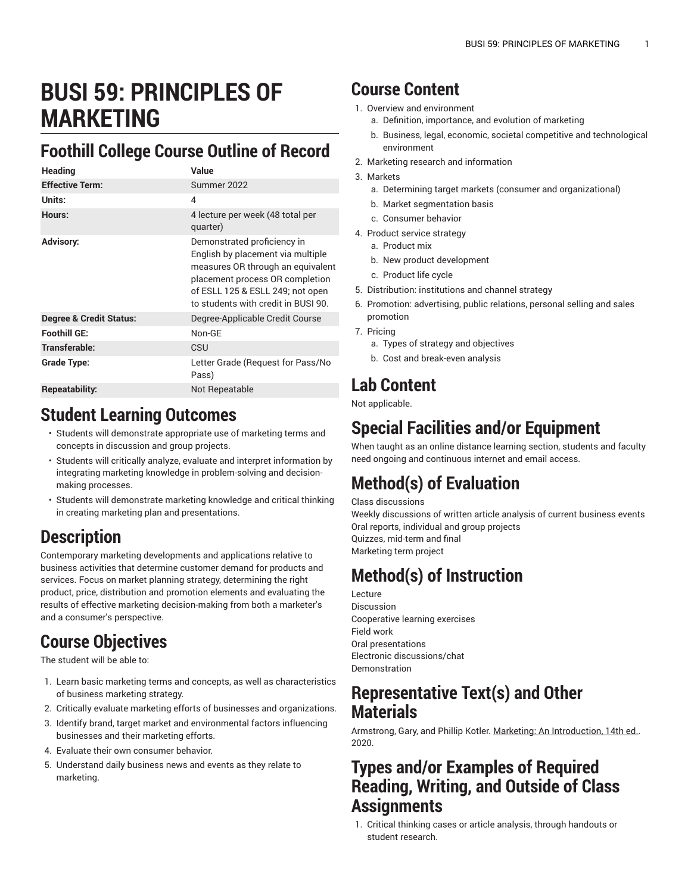# **BUSI 59: PRINCIPLES OF MARKETING**

### **Foothill College Course Outline of Record**

| <b>Heading</b>                     | Value                                                                                                                                                                                                              |
|------------------------------------|--------------------------------------------------------------------------------------------------------------------------------------------------------------------------------------------------------------------|
| <b>Effective Term:</b>             | Summer 2022                                                                                                                                                                                                        |
| Units:                             | 4                                                                                                                                                                                                                  |
| Hours:                             | 4 lecture per week (48 total per<br>quarter)                                                                                                                                                                       |
| <b>Advisory:</b>                   | Demonstrated proficiency in<br>English by placement via multiple<br>measures OR through an equivalent<br>placement process OR completion<br>of ESLL 125 & ESLL 249; not open<br>to students with credit in BUSL90. |
| <b>Degree &amp; Credit Status:</b> | Degree-Applicable Credit Course                                                                                                                                                                                    |
| Foothill GE:                       | Non-GF                                                                                                                                                                                                             |
| Transferable:                      | CSU                                                                                                                                                                                                                |
| Grade Type:                        | Letter Grade (Request for Pass/No<br>Pass)                                                                                                                                                                         |
| Repeatability:                     | Not Repeatable                                                                                                                                                                                                     |

#### **Student Learning Outcomes**

- Students will demonstrate appropriate use of marketing terms and concepts in discussion and group projects.
- Students will critically analyze, evaluate and interpret information by integrating marketing knowledge in problem-solving and decisionmaking processes.
- Students will demonstrate marketing knowledge and critical thinking in creating marketing plan and presentations.

### **Description**

Contemporary marketing developments and applications relative to business activities that determine customer demand for products and services. Focus on market planning strategy, determining the right product, price, distribution and promotion elements and evaluating the results of effective marketing decision-making from both a marketer's and a consumer's perspective.

### **Course Objectives**

The student will be able to:

- 1. Learn basic marketing terms and concepts, as well as characteristics of business marketing strategy.
- 2. Critically evaluate marketing efforts of businesses and organizations.
- 3. Identify brand, target market and environmental factors influencing businesses and their marketing efforts.
- 4. Evaluate their own consumer behavior.
- 5. Understand daily business news and events as they relate to marketing.

#### **Course Content**

- 1. Overview and environment
	- a. Definition, importance, and evolution of marketing
	- b. Business, legal, economic, societal competitive and technological environment
- 2. Marketing research and information
- 3. Markets
	- a. Determining target markets (consumer and organizational)
	- b. Market segmentation basis
	- c. Consumer behavior
- 4. Product service strategy
	- a. Product mix
	- b. New product development
	- c. Product life cycle
- 5. Distribution: institutions and channel strategy
- 6. Promotion: advertising, public relations, personal selling and sales promotion
- 7. Pricing
	- a. Types of strategy and objectives
	- b. Cost and break-even analysis

### **Lab Content**

Not applicable.

### **Special Facilities and/or Equipment**

When taught as an online distance learning section, students and faculty need ongoing and continuous internet and email access.

# **Method(s) of Evaluation**

Class discussions

Weekly discussions of written article analysis of current business events Oral reports, individual and group projects Quizzes, mid-term and final Marketing term project

# **Method(s) of Instruction**

Lecture Discussion Cooperative learning exercises Field work Oral presentations Electronic discussions/chat Demonstration

#### **Representative Text(s) and Other Materials**

Armstrong, Gary, and Phillip Kotler. Marketing: An Introduction, 14th ed.. 2020.

#### **Types and/or Examples of Required Reading, Writing, and Outside of Class Assignments**

1. Critical thinking cases or article analysis, through handouts or student research.